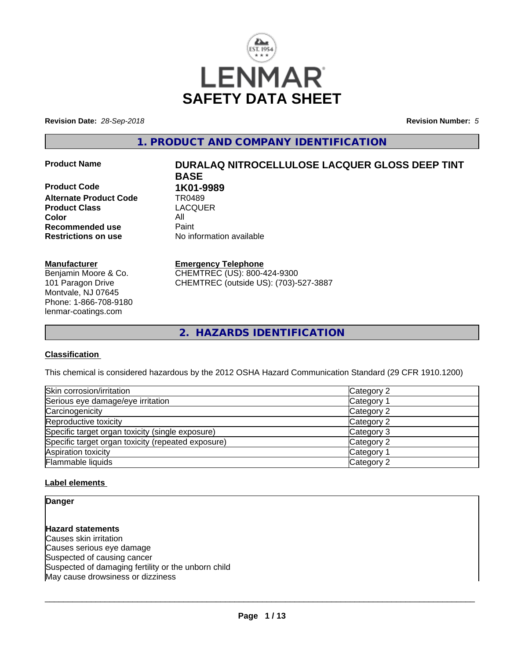

**Revision Date:** *28-Sep-2018* **Revision Number:** *5*

**1. PRODUCT AND COMPANY IDENTIFICATION**

**Product Code 1K01-9989 Alternate Product Code TR0489**<br> **Product Class** LACQUER **Product Class Color** All **Recommended use** Paint<br> **Restrictions on use** Mo information available **Restrictions on use** 

#### **Manufacturer**

Benjamin Moore & Co. 101 Paragon Drive Montvale, NJ 07645 Phone: 1-866-708-9180 lenmar-coatings.com

# **Product Name DURALAQ NITROCELLULOSE LACQUER GLOSS DEEP TINT BASE**

#### **Emergency Telephone**

CHEMTREC (US): 800-424-9300 CHEMTREC (outside US): (703)-527-3887

**2. HAZARDS IDENTIFICATION**

#### **Classification**

This chemical is considered hazardous by the 2012 OSHA Hazard Communication Standard (29 CFR 1910.1200)

| Skin corrosion/irritation                          | Category 2 |
|----------------------------------------------------|------------|
| Serious eye damage/eye irritation                  | Category 1 |
| Carcinogenicity                                    | Category 2 |
| Reproductive toxicity                              | Category 2 |
| Specific target organ toxicity (single exposure)   | Category 3 |
| Specific target organ toxicity (repeated exposure) | Category 2 |
| Aspiration toxicity                                | Category 1 |
| Flammable liquids                                  | Category 2 |

#### **Label elements**

**Danger**

**Hazard statements** Causes skin irritation Causes serious eye damage Suspected of causing cancer Suspected of damaging fertility or the unborn child May cause drowsiness or dizziness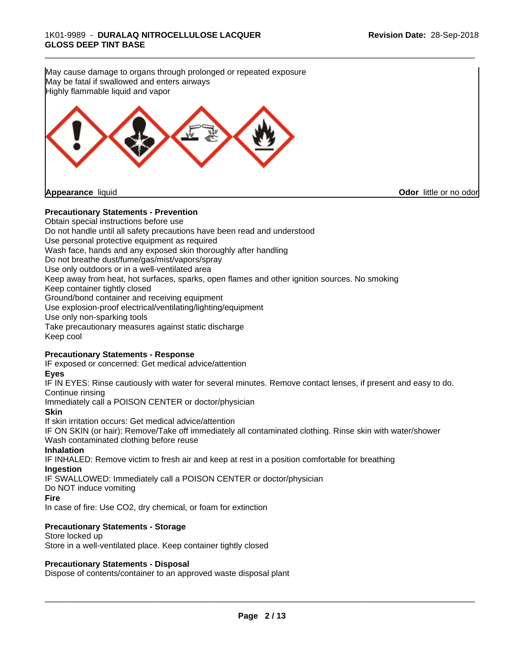**Precautionary Statements - Prevention** Obtain special instructions before use May cause damage to organs through prolonged or repeated exposure May be fatal if swallowed and enters airways Highly flammable liquid and vapor **Appearance** liquid **Odor** little or no odor

\_\_\_\_\_\_\_\_\_\_\_\_\_\_\_\_\_\_\_\_\_\_\_\_\_\_\_\_\_\_\_\_\_\_\_\_\_\_\_\_\_\_\_\_\_\_\_\_\_\_\_\_\_\_\_\_\_\_\_\_\_\_\_\_\_\_\_\_\_\_\_\_\_\_\_\_\_\_\_\_\_\_\_\_\_\_\_\_\_\_\_\_\_

Do not handle until all safety precautions have been read and understood Use personal protective equipment as required Wash face, hands and any exposed skin thoroughly after handling Do not breathe dust/fume/gas/mist/vapors/spray Use only outdoors or in a well-ventilated area Keep away from heat, hot surfaces, sparks, open flames and other ignition sources. No smoking Keep container tightly closed Ground/bond container and receiving equipment Use explosion-proof electrical/ventilating/lighting/equipment Use only non-sparking tools Take precautionary measures against static discharge Keep cool

#### **Precautionary Statements - Response**

IF exposed or concerned: Get medical advice/attention

#### **Eyes**

IF IN EYES: Rinse cautiously with water for several minutes. Remove contact lenses, if present and easy to do. Continue rinsing

Immediately call a POISON CENTER or doctor/physician

**Skin**

If skin irritation occurs: Get medical advice/attention IF ON SKIN (or hair): Remove/Take off immediately all contaminated clothing. Rinse skin with water/shower Wash contaminated clothing before reuse

#### **Inhalation**

IF INHALED: Remove victim to fresh air and keep at rest in a position comfortable for breathing **Ingestion**

IF SWALLOWED: Immediately call a POISON CENTER or doctor/physician

Do NOT induce vomiting

#### **Fire**

In case of fire: Use CO2, dry chemical, or foam for extinction

#### **Precautionary Statements - Storage**

Store locked up Store in a well-ventilated place. Keep container tightly closed

#### **Precautionary Statements - Disposal**

Dispose of contents/container to an approved waste disposal plant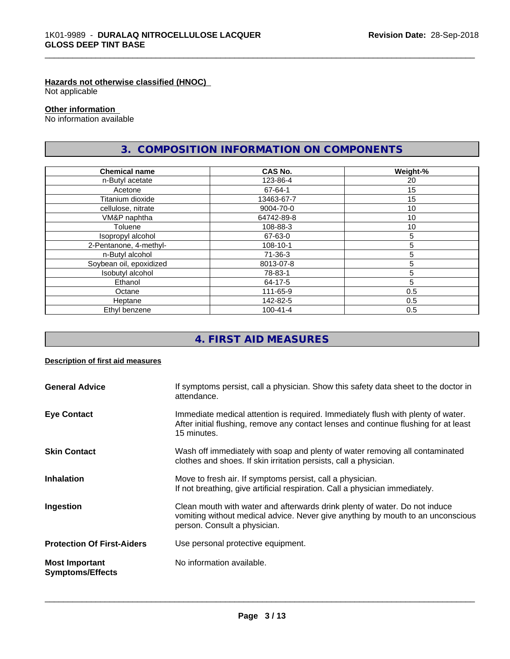#### **Hazards not otherwise classified (HNOC)**

Not applicable

#### **Other information**

No information available

# **3. COMPOSITION INFORMATION ON COMPONENTS**

\_\_\_\_\_\_\_\_\_\_\_\_\_\_\_\_\_\_\_\_\_\_\_\_\_\_\_\_\_\_\_\_\_\_\_\_\_\_\_\_\_\_\_\_\_\_\_\_\_\_\_\_\_\_\_\_\_\_\_\_\_\_\_\_\_\_\_\_\_\_\_\_\_\_\_\_\_\_\_\_\_\_\_\_\_\_\_\_\_\_\_\_\_

| <b>Chemical name</b>    | CAS No.        | Weight-% |
|-------------------------|----------------|----------|
| n-Butyl acetate         | 123-86-4       | 20       |
| Acetone                 | 67-64-1        | 15       |
| Titanium dioxide        | 13463-67-7     | 15       |
| cellulose, nitrate      | 9004-70-0      | 10       |
| VM&P naphtha            | 64742-89-8     | 10       |
| Toluene                 | 108-88-3       | 10       |
| Isopropyl alcohol       | 67-63-0        | 5        |
| 2-Pentanone, 4-methyl-  | 108-10-1       | 5        |
| n-Butyl alcohol         | 71-36-3        | 5        |
| Soybean oil, epoxidized | 8013-07-8      | 5        |
| Isobutyl alcohol        | 78-83-1        | 5        |
| Ethanol                 | 64-17-5        | 5        |
| Octane                  | 111-65-9       | 0.5      |
| Heptane                 | 142-82-5       | 0.5      |
| Ethyl benzene           | $100 - 41 - 4$ | 0.5      |

# **4. FIRST AID MEASURES**

#### **Description of first aid measures**

| <b>General Advice</b>                            | If symptoms persist, call a physician. Show this safety data sheet to the doctor in<br>attendance.                                                                                            |
|--------------------------------------------------|-----------------------------------------------------------------------------------------------------------------------------------------------------------------------------------------------|
| <b>Eye Contact</b>                               | Immediate medical attention is required. Immediately flush with plenty of water.<br>After initial flushing, remove any contact lenses and continue flushing for at least<br>15 minutes.       |
| <b>Skin Contact</b>                              | Wash off immediately with soap and plenty of water removing all contaminated<br>clothes and shoes. If skin irritation persists, call a physician.                                             |
| <b>Inhalation</b>                                | Move to fresh air. If symptoms persist, call a physician.<br>If not breathing, give artificial respiration. Call a physician immediately.                                                     |
| Ingestion                                        | Clean mouth with water and afterwards drink plenty of water. Do not induce<br>vomiting without medical advice. Never give anything by mouth to an unconscious<br>person. Consult a physician. |
| <b>Protection Of First-Aiders</b>                | Use personal protective equipment.                                                                                                                                                            |
| <b>Most Important</b><br><b>Symptoms/Effects</b> | No information available.                                                                                                                                                                     |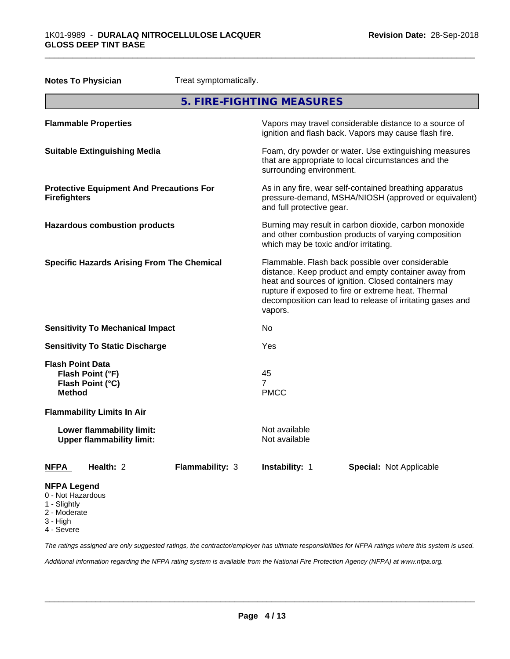3 - High 4 - Severe

| <b>Notes To Physician</b>                                               |                                                               | Treat symptomatically. |                                       |                                                                                                                                                                                                                                                                                     |
|-------------------------------------------------------------------------|---------------------------------------------------------------|------------------------|---------------------------------------|-------------------------------------------------------------------------------------------------------------------------------------------------------------------------------------------------------------------------------------------------------------------------------------|
|                                                                         |                                                               |                        | 5. FIRE-FIGHTING MEASURES             |                                                                                                                                                                                                                                                                                     |
|                                                                         | <b>Flammable Properties</b>                                   |                        |                                       | Vapors may travel considerable distance to a source of<br>ignition and flash back. Vapors may cause flash fire.                                                                                                                                                                     |
|                                                                         | <b>Suitable Extinguishing Media</b>                           |                        | surrounding environment.              | Foam, dry powder or water. Use extinguishing measures<br>that are appropriate to local circumstances and the                                                                                                                                                                        |
| <b>Firefighters</b>                                                     | <b>Protective Equipment And Precautions For</b>               |                        | and full protective gear.             | As in any fire, wear self-contained breathing apparatus<br>pressure-demand, MSHA/NIOSH (approved or equivalent)                                                                                                                                                                     |
|                                                                         | <b>Hazardous combustion products</b>                          |                        | which may be toxic and/or irritating. | Burning may result in carbon dioxide, carbon monoxide<br>and other combustion products of varying composition                                                                                                                                                                       |
|                                                                         | <b>Specific Hazards Arising From The Chemical</b>             |                        | vapors.                               | Flammable. Flash back possible over considerable<br>distance. Keep product and empty container away from<br>heat and sources of ignition. Closed containers may<br>rupture if exposed to fire or extreme heat. Thermal<br>decomposition can lead to release of irritating gases and |
|                                                                         | <b>Sensitivity To Mechanical Impact</b>                       |                        | No                                    |                                                                                                                                                                                                                                                                                     |
|                                                                         | <b>Sensitivity To Static Discharge</b>                        |                        | Yes                                   |                                                                                                                                                                                                                                                                                     |
| <b>Flash Point Data</b><br><b>Method</b>                                | Flash Point (°F)<br>Flash Point (°C)                          |                        | 45<br>$\overline{7}$<br><b>PMCC</b>   |                                                                                                                                                                                                                                                                                     |
|                                                                         | <b>Flammability Limits In Air</b>                             |                        |                                       |                                                                                                                                                                                                                                                                                     |
|                                                                         | Lower flammability limit:<br><b>Upper flammability limit:</b> |                        | Not available<br>Not available        |                                                                                                                                                                                                                                                                                     |
| <u>NFPA</u>                                                             | Health: 2                                                     | Flammability: 3        | Instability: 1                        | <b>Special: Not Applicable</b>                                                                                                                                                                                                                                                      |
| <b>NFPA Legend</b><br>0 - Not Hazardous<br>1 - Slightly<br>2 - Moderate |                                                               |                        |                                       |                                                                                                                                                                                                                                                                                     |

\_\_\_\_\_\_\_\_\_\_\_\_\_\_\_\_\_\_\_\_\_\_\_\_\_\_\_\_\_\_\_\_\_\_\_\_\_\_\_\_\_\_\_\_\_\_\_\_\_\_\_\_\_\_\_\_\_\_\_\_\_\_\_\_\_\_\_\_\_\_\_\_\_\_\_\_\_\_\_\_\_\_\_\_\_\_\_\_\_\_\_\_\_

*The ratings assigned are only suggested ratings, the contractor/employer has ultimate responsibilities for NFPA ratings where this system is used.*

*Additional information regarding the NFPA rating system is available from the National Fire Protection Agency (NFPA) at www.nfpa.org.*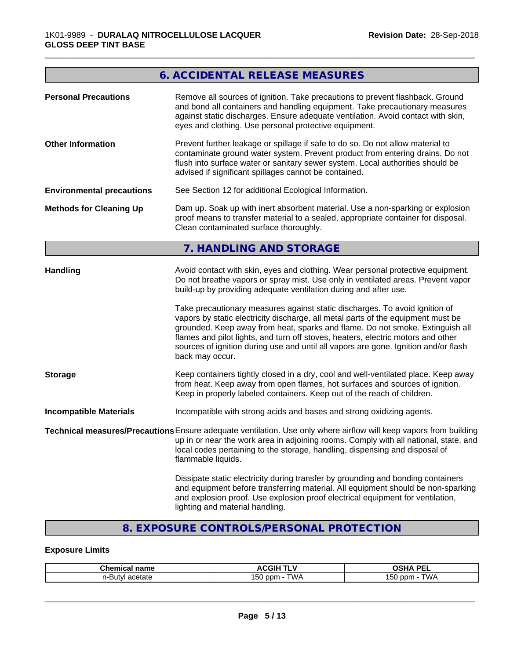# **6. ACCIDENTAL RELEASE MEASURES**

\_\_\_\_\_\_\_\_\_\_\_\_\_\_\_\_\_\_\_\_\_\_\_\_\_\_\_\_\_\_\_\_\_\_\_\_\_\_\_\_\_\_\_\_\_\_\_\_\_\_\_\_\_\_\_\_\_\_\_\_\_\_\_\_\_\_\_\_\_\_\_\_\_\_\_\_\_\_\_\_\_\_\_\_\_\_\_\_\_\_\_\_\_

| <b>Personal Precautions</b>      | Remove all sources of ignition. Take precautions to prevent flashback. Ground<br>and bond all containers and handling equipment. Take precautionary measures<br>against static discharges. Ensure adequate ventilation. Avoid contact with skin,<br>eyes and clothing. Use personal protective equipment.                                                                                                                                                                                                                                                                                                                                                                                 |
|----------------------------------|-------------------------------------------------------------------------------------------------------------------------------------------------------------------------------------------------------------------------------------------------------------------------------------------------------------------------------------------------------------------------------------------------------------------------------------------------------------------------------------------------------------------------------------------------------------------------------------------------------------------------------------------------------------------------------------------|
| <b>Other Information</b>         | Prevent further leakage or spillage if safe to do so. Do not allow material to<br>contaminate ground water system. Prevent product from entering drains. Do not<br>flush into surface water or sanitary sewer system. Local authorities should be<br>advised if significant spillages cannot be contained.                                                                                                                                                                                                                                                                                                                                                                                |
| <b>Environmental precautions</b> | See Section 12 for additional Ecological Information.                                                                                                                                                                                                                                                                                                                                                                                                                                                                                                                                                                                                                                     |
| <b>Methods for Cleaning Up</b>   | Dam up. Soak up with inert absorbent material. Use a non-sparking or explosion<br>proof means to transfer material to a sealed, appropriate container for disposal.<br>Clean contaminated surface thoroughly.                                                                                                                                                                                                                                                                                                                                                                                                                                                                             |
|                                  | 7. HANDLING AND STORAGE                                                                                                                                                                                                                                                                                                                                                                                                                                                                                                                                                                                                                                                                   |
| Handling                         | Avoid contact with skin, eyes and clothing. Wear personal protective equipment.<br>Do not breathe vapors or spray mist. Use only in ventilated areas. Prevent vapor<br>build-up by providing adequate ventilation during and after use.<br>Take precautionary measures against static discharges. To avoid ignition of<br>vapors by static electricity discharge, all metal parts of the equipment must be<br>grounded. Keep away from heat, sparks and flame. Do not smoke. Extinguish all<br>flames and pilot lights, and turn off stoves, heaters, electric motors and other<br>sources of ignition during use and until all vapors are gone. Ignition and/or flash<br>back may occur. |
| <b>Storage</b>                   | Keep containers tightly closed in a dry, cool and well-ventilated place. Keep away<br>from heat. Keep away from open flames, hot surfaces and sources of ignition.<br>Keep in properly labeled containers. Keep out of the reach of children.                                                                                                                                                                                                                                                                                                                                                                                                                                             |
| <b>Incompatible Materials</b>    | Incompatible with strong acids and bases and strong oxidizing agents.                                                                                                                                                                                                                                                                                                                                                                                                                                                                                                                                                                                                                     |
|                                  | Technical measures/Precautions Ensure adequate ventilation. Use only where airflow will keep vapors from building<br>up in or near the work area in adjoining rooms. Comply with all national, state, and<br>local codes pertaining to the storage, handling, dispensing and disposal of<br>flammable liquids.                                                                                                                                                                                                                                                                                                                                                                            |
|                                  | Dissipate static electricity during transfer by grounding and bonding containers<br>and equipment before transferring material. All equipment should be non-sparking<br>and explosion proof. Use explosion proof electrical equipment for ventilation,<br>lighting and material handling.                                                                                                                                                                                                                                                                                                                                                                                                 |
|                                  |                                                                                                                                                                                                                                                                                                                                                                                                                                                                                                                                                                                                                                                                                           |

# **8. EXPOSURE CONTROLS/PERSONAL PROTECTION**

## **Exposure Limits**

| <b>Chemical name</b>              | <b>ACGIH</b><br>.<br>. | OCUA DEI<br>יהסי<br>-- |
|-----------------------------------|------------------------|------------------------|
| acetate<br>.<br><b>ITV</b><br>. . | .<br>TWA<br>ppm<br>'50 | ГWА<br>ppm<br>vu       |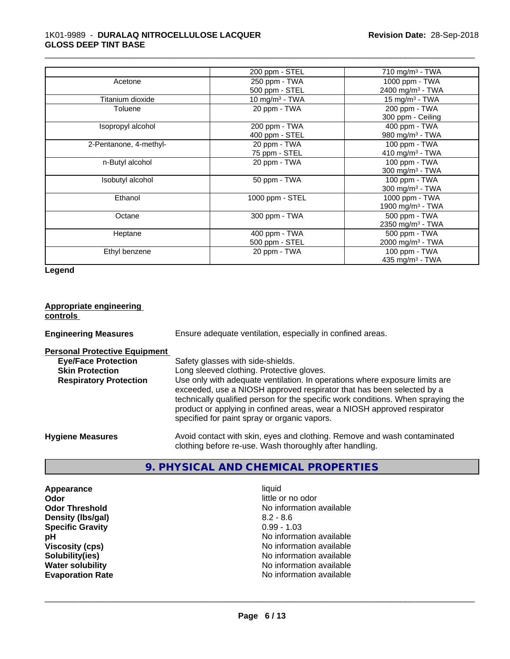#### 1K01-9989 - **DURALAQ NITROCELLULOSE LACQUER GLOSS DEEP TINT BASE**

|                        | 200 ppm - STEL             | $710$ mg/m <sup>3</sup> - TWA |
|------------------------|----------------------------|-------------------------------|
| Acetone                | 250 ppm - TWA              | 1000 ppm - TWA                |
|                        | 500 ppm - STEL             | $2400 \text{ mg/m}^3$ - TWA   |
| Titanium dioxide       | 10 mg/m <sup>3</sup> - TWA | 15 mg/m <sup>3</sup> - TWA    |
| Toluene                | 20 ppm - TWA               | 200 ppm - TWA                 |
|                        |                            | 300 ppm - Ceiling             |
| Isopropyl alcohol      | 200 ppm - TWA              | 400 ppm - TWA                 |
|                        | 400 ppm - STEL             | 980 mg/m $3$ - TWA            |
| 2-Pentanone, 4-methyl- | 20 ppm - TWA               | 100 ppm - TWA                 |
|                        | 75 ppm - STEL              | 410 mg/m <sup>3</sup> - TWA   |
| n-Butyl alcohol        | 20 ppm - TWA               | 100 ppm - TWA                 |
|                        |                            | 300 mg/m $3$ - TWA            |
| Isobutyl alcohol       | 50 ppm - TWA               | 100 ppm - TWA                 |
|                        |                            | 300 mg/m $3$ - TWA            |
| Ethanol                | 1000 ppm - STEL            | 1000 ppm - TWA                |
|                        |                            | 1900 mg/m <sup>3</sup> - TWA  |
| Octane                 | 300 ppm - TWA              | 500 ppm - TWA                 |
|                        |                            | 2350 mg/m <sup>3</sup> - TWA  |
| Heptane                | 400 ppm - TWA              | 500 ppm - TWA                 |
|                        | 500 ppm - STEL             | 2000 mg/m <sup>3</sup> - TWA  |
| Ethyl benzene          | 20 ppm - TWA               | 100 ppm - TWA                 |
|                        |                            | 435 mg/m $3$ - TWA            |

\_\_\_\_\_\_\_\_\_\_\_\_\_\_\_\_\_\_\_\_\_\_\_\_\_\_\_\_\_\_\_\_\_\_\_\_\_\_\_\_\_\_\_\_\_\_\_\_\_\_\_\_\_\_\_\_\_\_\_\_\_\_\_\_\_\_\_\_\_\_\_\_\_\_\_\_\_\_\_\_\_\_\_\_\_\_\_\_\_\_\_\_\_

**Legend**

| Appropriate engineering<br>controls                                                                                           |                                                                                                                                                                                                                                                                                                                                                                                                                                                       |
|-------------------------------------------------------------------------------------------------------------------------------|-------------------------------------------------------------------------------------------------------------------------------------------------------------------------------------------------------------------------------------------------------------------------------------------------------------------------------------------------------------------------------------------------------------------------------------------------------|
| <b>Engineering Measures</b>                                                                                                   | Ensure adequate ventilation, especially in confined areas.                                                                                                                                                                                                                                                                                                                                                                                            |
| <b>Personal Protective Equipment</b><br><b>Eye/Face Protection</b><br><b>Skin Protection</b><br><b>Respiratory Protection</b> | Safety glasses with side-shields.<br>Long sleeved clothing. Protective gloves.<br>Use only with adequate ventilation. In operations where exposure limits are<br>exceeded, use a NIOSH approved respirator that has been selected by a<br>technically qualified person for the specific work conditions. When spraying the<br>product or applying in confined areas, wear a NIOSH approved respirator<br>specified for paint spray or organic vapors. |
| <b>Hygiene Measures</b>                                                                                                       | Avoid contact with skin, eyes and clothing. Remove and wash contaminated<br>clothing before re-use. Wash thoroughly after handling.                                                                                                                                                                                                                                                                                                                   |

# **9. PHYSICAL AND CHEMICAL PROPERTIES**

**Appearance** liquid **odor** liquid **odor** little of little of little of little of little of little of little of little of little of little of little of little of little of little of little of little of little of little of l **Density (Ibs/gal)** 8.2 - 8.6<br> **Specific Gravity** 8.2 - 8.6 **Specific Gravity** 

little or no odor **Odor Threshold**<br> **Density (Ibs/gal)**<br> **Density (Ibs/gal)**<br> **Density (Ibs/gal)**<br> **Density (Ibs/gal) pH**<br>Viscosity (cps) and the set of the set of the No information available<br>No information available **Viscosity (cps)**  $\bullet$  **Viscosity (cps)** No information available **Solubility (ies)** No information available **Solubility(ies)** No information available **Water solubility**<br> **Evaporation Rate**<br> **Evaporation Rate**<br> **Evaporation Rate**<br> **Evaporation Rate No information available**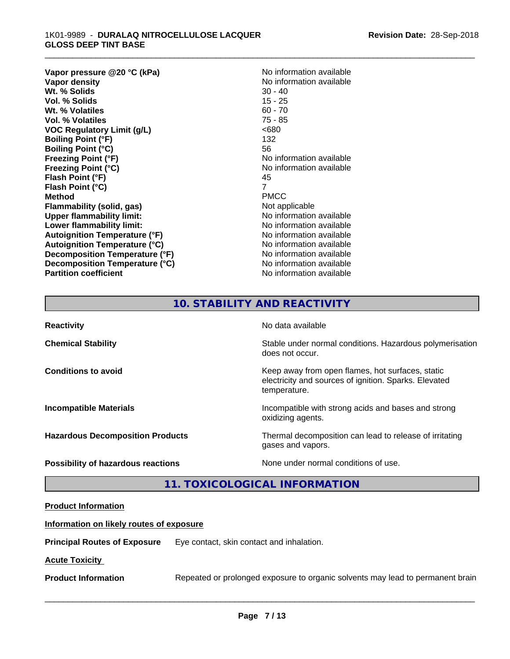#### 1K01-9989 - **DURALAQ NITROCELLULOSE LACQUER GLOSS DEEP TINT BASE**

**Vapor pressure @20 °C (kPa)**<br> **Vapor density**<br> **Vapor density**<br> **Vapor density Wt. % Solids** 30 - 40<br> **Vol. % Solids** 30 - 40 **Vol. % Solids** Wt. % Volatiles 60 - 70 **Vol. % Volatiles** 75 - 85 **VOC** Regulatory Limit (g/L)  $\leq 680$ **Boiling Point (°F)** 132 **Boiling Point (°C)** 56 **Freezing Point (°F)** No information available **Freezing Point (°C)** No information available **Flash Point (°F)** 45 **Flash Point (°C)** 7 **Method** PMCC **Flammability (solid, gas)** Not applicable **Upper flammability limit:**<br> **Lower flammability limit:** No information available **Lower flammability limit: Autoignition Temperature (°F)** No information available **Autoignition Temperature (°C)**<br> **Decomposition Temperature (°F)** No information available **Decomposition Temperature (°F) Decomposition Temperature (°C)** No information available **Partition coefficient Contract Community No information available** 

**No information available**<br>30 - 40

\_\_\_\_\_\_\_\_\_\_\_\_\_\_\_\_\_\_\_\_\_\_\_\_\_\_\_\_\_\_\_\_\_\_\_\_\_\_\_\_\_\_\_\_\_\_\_\_\_\_\_\_\_\_\_\_\_\_\_\_\_\_\_\_\_\_\_\_\_\_\_\_\_\_\_\_\_\_\_\_\_\_\_\_\_\_\_\_\_\_\_\_\_

# **10. STABILITY AND REACTIVITY**

| <b>Reactivity</b>                         | No data available                                                                                                         |
|-------------------------------------------|---------------------------------------------------------------------------------------------------------------------------|
| <b>Chemical Stability</b>                 | Stable under normal conditions. Hazardous polymerisation<br>does not occur.                                               |
| <b>Conditions to avoid</b>                | Keep away from open flames, hot surfaces, static<br>electricity and sources of ignition. Sparks. Elevated<br>temperature. |
| <b>Incompatible Materials</b>             | Incompatible with strong acids and bases and strong<br>oxidizing agents.                                                  |
| <b>Hazardous Decomposition Products</b>   | Thermal decomposition can lead to release of irritating<br>gases and vapors.                                              |
| <b>Possibility of hazardous reactions</b> | None under normal conditions of use.                                                                                      |

### **11. TOXICOLOGICAL INFORMATION**

#### **Product Information**

#### **Information on likely routes of exposure**

**Principal Routes of Exposure** Eye contact, skin contact and inhalation.

#### **Acute Toxicity**

**Product Information** Repeated or prolonged exposure to organic solvents may lead to permanent brain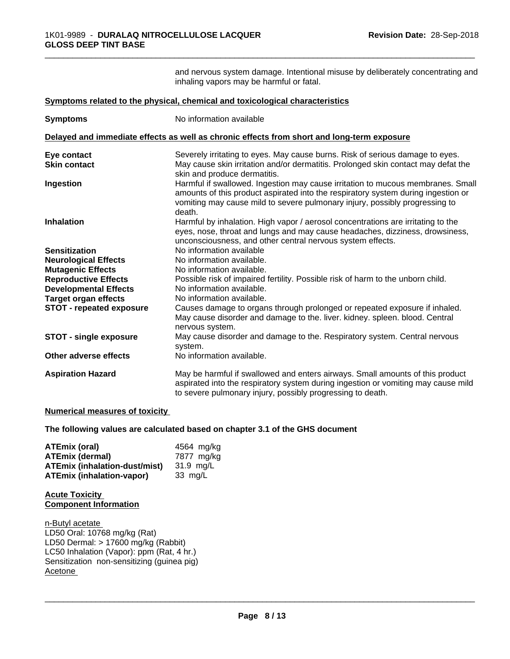and nervous system damage. Intentional misuse by deliberately concentrating and inhaling vapors may be harmful or fatal.

\_\_\_\_\_\_\_\_\_\_\_\_\_\_\_\_\_\_\_\_\_\_\_\_\_\_\_\_\_\_\_\_\_\_\_\_\_\_\_\_\_\_\_\_\_\_\_\_\_\_\_\_\_\_\_\_\_\_\_\_\_\_\_\_\_\_\_\_\_\_\_\_\_\_\_\_\_\_\_\_\_\_\_\_\_\_\_\_\_\_\_\_\_

|                                 | Symptoms related to the physical, chemical and toxicological characteristics                                                                                                                                                                                  |
|---------------------------------|---------------------------------------------------------------------------------------------------------------------------------------------------------------------------------------------------------------------------------------------------------------|
| <b>Symptoms</b>                 | No information available                                                                                                                                                                                                                                      |
|                                 | Delayed and immediate effects as well as chronic effects from short and long-term exposure                                                                                                                                                                    |
| Eye contact                     | Severely irritating to eyes. May cause burns. Risk of serious damage to eyes.                                                                                                                                                                                 |
| <b>Skin contact</b>             | May cause skin irritation and/or dermatitis. Prolonged skin contact may defat the<br>skin and produce dermatitis.                                                                                                                                             |
| Ingestion                       | Harmful if swallowed. Ingestion may cause irritation to mucous membranes. Small<br>amounts of this product aspirated into the respiratory system during ingestion or<br>vomiting may cause mild to severe pulmonary injury, possibly progressing to<br>death. |
| <b>Inhalation</b>               | Harmful by inhalation. High vapor / aerosol concentrations are irritating to the<br>eyes, nose, throat and lungs and may cause headaches, dizziness, drowsiness,<br>unconsciousness, and other central nervous system effects.                                |
| <b>Sensitization</b>            | No information available                                                                                                                                                                                                                                      |
| <b>Neurological Effects</b>     | No information available.                                                                                                                                                                                                                                     |
| <b>Mutagenic Effects</b>        | No information available.                                                                                                                                                                                                                                     |
| <b>Reproductive Effects</b>     | Possible risk of impaired fertility. Possible risk of harm to the unborn child.                                                                                                                                                                               |
| <b>Developmental Effects</b>    | No information available.                                                                                                                                                                                                                                     |
| <b>Target organ effects</b>     | No information available.                                                                                                                                                                                                                                     |
| <b>STOT - repeated exposure</b> | Causes damage to organs through prolonged or repeated exposure if inhaled.<br>May cause disorder and damage to the. liver. kidney. spleen. blood. Central<br>nervous system.                                                                                  |
| <b>STOT - single exposure</b>   | May cause disorder and damage to the. Respiratory system. Central nervous<br>system.                                                                                                                                                                          |
| Other adverse effects           | No information available.                                                                                                                                                                                                                                     |
| <b>Aspiration Hazard</b>        | May be harmful if swallowed and enters airways. Small amounts of this product<br>aspirated into the respiratory system during ingestion or vomiting may cause mild<br>to severe pulmonary injury, possibly progressing to death.                              |

#### **Numerical measures of toxicity**

**The following values are calculated based on chapter 3.1 of the GHS document**

| ATEmix (oral)                        | 4564 mg/ka        |
|--------------------------------------|-------------------|
| <b>ATEmix (dermal)</b>               | 7877 mg/kg        |
| <b>ATEmix (inhalation-dust/mist)</b> | 31.9 ma/L         |
| <b>ATEmix (inhalation-vapor)</b>     | $33 \text{ ma/L}$ |

**Acute Toxicity Component Information**

n-Butyl acetate LD50 Oral: 10768 mg/kg (Rat) LD50 Dermal: > 17600 mg/kg (Rabbit) LC50 Inhalation (Vapor): ppm (Rat, 4 hr.) Sensitization non-sensitizing (guinea pig) Acetone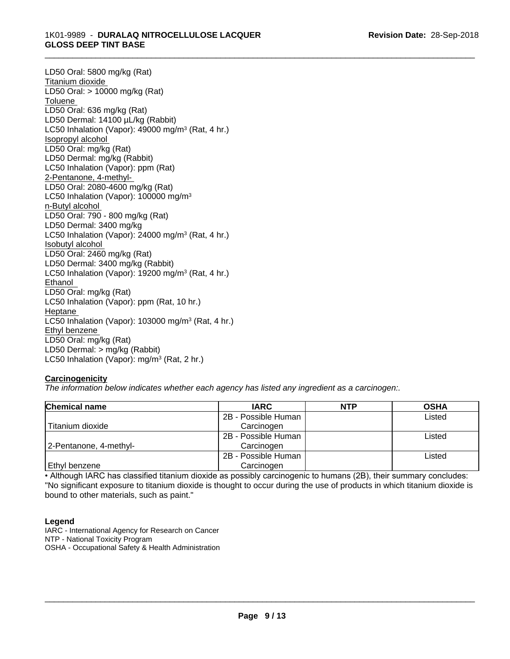#### 1K01-9989 - **DURALAQ NITROCELLULOSE LACQUER GLOSS DEEP TINT BASE**

LD50 Oral: 5800 mg/kg (Rat) Titanium dioxide LD50 Oral: > 10000 mg/kg (Rat) Toluene LD50 Oral: 636 mg/kg (Rat) LD50 Dermal: 14100 µL/kg (Rabbit) LC50 Inhalation (Vapor): 49000 mg/m<sup>3</sup> (Rat, 4 hr.) Isopropyl alcohol LD50 Oral: mg/kg (Rat) LD50 Dermal: mg/kg (Rabbit) LC50 Inhalation (Vapor): ppm (Rat) 2-Pentanone, 4-methyl-LD50 Oral: 2080-4600 mg/kg (Rat) LC50 Inhalation (Vapor): 100000 mg/m<sup>3</sup> n-Butyl alcohol LD50 Oral: 790 - 800 mg/kg (Rat) LD50 Dermal: 3400 mg/kg LC50 Inhalation (Vapor): 24000 mg/m<sup>3</sup> (Rat, 4 hr.) Isobutyl alcohol LD50 Oral: 2460 mg/kg (Rat) LD50 Dermal: 3400 mg/kg (Rabbit) LC50 Inhalation (Vapor): 19200 mg/m<sup>3</sup> (Rat, 4 hr.) Ethanol LD50 Oral: mg/kg (Rat) LC50 Inhalation (Vapor): ppm (Rat, 10 hr.) Heptane LC50 Inhalation (Vapor): 103000 mg/m<sup>3</sup> (Rat, 4 hr.) Ethyl benzene LD50 Oral: mg/kg (Rat) LD50 Dermal: > mg/kg (Rabbit) LC50 Inhalation (Vapor): mg/m<sup>3</sup> (Rat, 2 hr.)

#### **Carcinogenicity**

*The information below indicateswhether each agency has listed any ingredient as a carcinogen:.*

| <b>Chemical name</b>   | <b>IARC</b>         | <b>NTP</b> | <b>OSHA</b> |
|------------------------|---------------------|------------|-------------|
|                        | 2B - Possible Human |            | Listed      |
| Titanium dioxide       | Carcinogen          |            |             |
|                        | 2B - Possible Human |            | Listed      |
| 2-Pentanone, 4-methyl- | Carcinogen          |            |             |
|                        | 2B - Possible Human |            | Listed      |
| Ethyl benzene          | Carcinogen          |            |             |

\_\_\_\_\_\_\_\_\_\_\_\_\_\_\_\_\_\_\_\_\_\_\_\_\_\_\_\_\_\_\_\_\_\_\_\_\_\_\_\_\_\_\_\_\_\_\_\_\_\_\_\_\_\_\_\_\_\_\_\_\_\_\_\_\_\_\_\_\_\_\_\_\_\_\_\_\_\_\_\_\_\_\_\_\_\_\_\_\_\_\_\_\_

• Although IARC has classified titanium dioxide as possibly carcinogenic to humans (2B), their summary concludes: "No significant exposure to titanium dioxide is thought to occur during the use of products in which titanium dioxide is bound to other materials, such as paint."

#### **Legend**

IARC - International Agency for Research on Cancer NTP - National Toxicity Program OSHA - Occupational Safety & Health Administration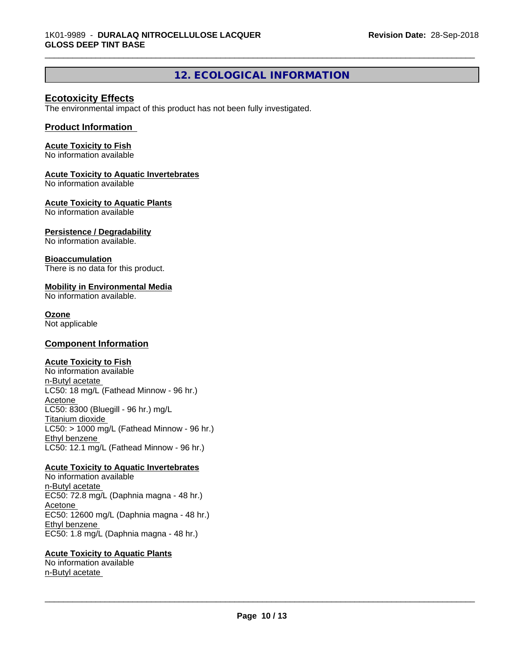# **12. ECOLOGICAL INFORMATION**

\_\_\_\_\_\_\_\_\_\_\_\_\_\_\_\_\_\_\_\_\_\_\_\_\_\_\_\_\_\_\_\_\_\_\_\_\_\_\_\_\_\_\_\_\_\_\_\_\_\_\_\_\_\_\_\_\_\_\_\_\_\_\_\_\_\_\_\_\_\_\_\_\_\_\_\_\_\_\_\_\_\_\_\_\_\_\_\_\_\_\_\_\_

#### **Ecotoxicity Effects**

The environmental impact of this product has not been fully investigated.

#### **Product Information**

#### **Acute Toxicity to Fish**

No information available

#### **Acute Toxicity to Aquatic Invertebrates**

No information available

#### **Acute Toxicity to Aquatic Plants**

No information available

#### **Persistence / Degradability**

No information available.

#### **Bioaccumulation**

There is no data for this product.

#### **Mobility in Environmental Media**

No information available.

#### **Ozone**

Not applicable

#### **Component Information**

#### **Acute Toxicity to Fish**

No information available n-Butyl acetate LC50: 18 mg/L (Fathead Minnow - 96 hr.) **Acetone** LC50: 8300 (Bluegill - 96 hr.) mg/L Titanium dioxide  $LC50:$  > 1000 mg/L (Fathead Minnow - 96 hr.) Ethyl benzene LC50: 12.1 mg/L (Fathead Minnow - 96 hr.)

#### **Acute Toxicity to Aquatic Invertebrates**

No information available n-Butyl acetate EC50: 72.8 mg/L (Daphnia magna - 48 hr.) Acetone EC50: 12600 mg/L (Daphnia magna - 48 hr.) Ethyl benzene EC50: 1.8 mg/L (Daphnia magna - 48 hr.)

#### **Acute Toxicity to Aquatic Plants**

No information available n-Butyl acetate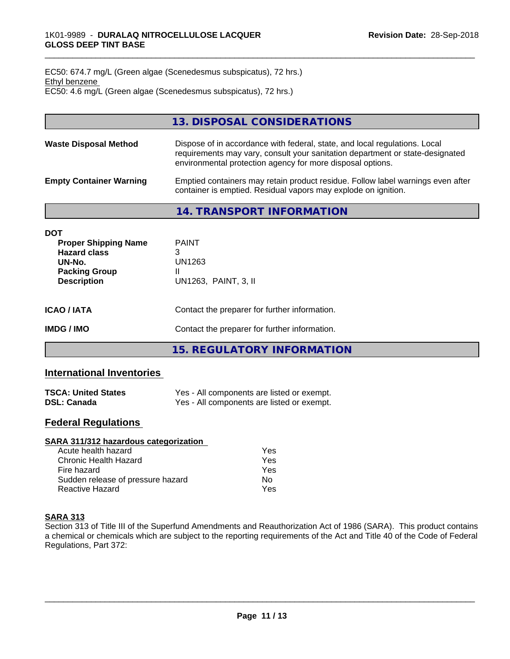EC50: 674.7 mg/L (Green algae (Scenedesmus subspicatus), 72 hrs.) Ethyl benzene EC50: 4.6 mg/L (Green algae (Scenedesmus subspicatus), 72 hrs.)

|                                | 13. DISPOSAL CONSIDERATIONS                                                                                                                                                                                               |
|--------------------------------|---------------------------------------------------------------------------------------------------------------------------------------------------------------------------------------------------------------------------|
| <b>Waste Disposal Method</b>   | Dispose of in accordance with federal, state, and local regulations. Local<br>requirements may vary, consult your sanitation department or state-designated<br>environmental protection agency for more disposal options. |
| <b>Empty Container Warning</b> | Emptied containers may retain product residue. Follow label warnings even after<br>container is emptied. Residual vapors may explode on ignition.                                                                         |
|                                | 14. TRANSPORT INFORMATION                                                                                                                                                                                                 |

| <b>Proper Shipping Name</b> | <b>PAINT</b> |  |
|-----------------------------|--------------|--|
| <b>Hazard class</b>         |              |  |
| UN-No.                      | UN1263       |  |

| <b>IMDG/IMO</b>                      | Contact the preparer for further information. |
|--------------------------------------|-----------------------------------------------|
| <b>ICAO/IATA</b>                     | Contact the preparer for further information. |
| . aaniin olomp<br><b>Description</b> | UN1263, PAINT, 3, II                          |

**15. REGULATORY INFORMATION**

# **International Inventories**

**Packing Group** II

| <b>TSCA: United States</b> | Yes - All components are listed or exempt. |
|----------------------------|--------------------------------------------|
| <b>DSL: Canada</b>         | Yes - All components are listed or exempt. |

### **Federal Regulations**

| SARA 311/312 hazardous categorization |     |  |
|---------------------------------------|-----|--|
| Acute health hazard                   | Yes |  |
| Chronic Health Hazard                 | Yes |  |
| Fire hazard                           | Yes |  |
| Sudden release of pressure hazard     | Nο  |  |
| <b>Reactive Hazard</b>                | Yes |  |

### **SARA 313**

**DOT**

Section 313 of Title III of the Superfund Amendments and Reauthorization Act of 1986 (SARA). This product contains a chemical or chemicals which are subject to the reporting requirements of the Act and Title 40 of the Code of Federal Regulations, Part 372: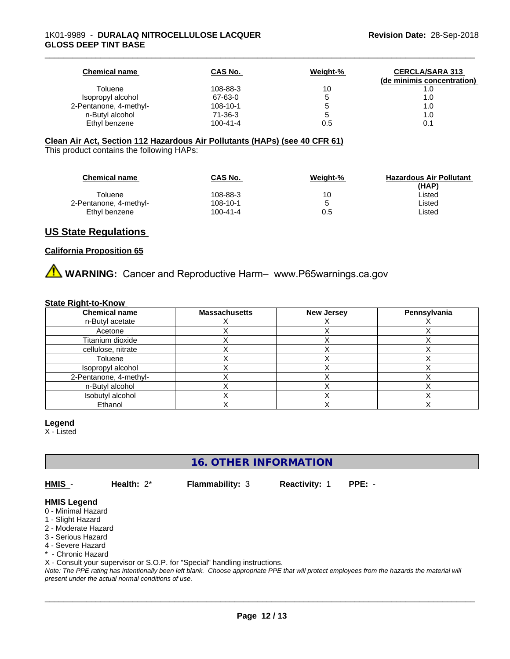| <b>Chemical name</b>   | CAS No.        | Weight-% | <b>CERCLA/SARA 313</b><br>(de minimis concentration) |
|------------------------|----------------|----------|------------------------------------------------------|
| Toluene                | 108-88-3       | 10       | 1.0                                                  |
| Isopropyl alcohol      | 67-63-0        |          | 1.0                                                  |
| 2-Pentanone, 4-methyl- | $108 - 10 - 1$ |          | 1.0                                                  |
| n-Butyl alcohol        | 71-36-3        |          | 1.0                                                  |
| Ethyl benzene          | $100 - 41 - 4$ | 0.5      | 0.1                                                  |

#### **Clean Air Act,Section 112 Hazardous Air Pollutants (HAPs) (see 40 CFR 61)**

This product contains the following HAPs:

| <b>Chemical name</b>   | <b>CAS No.</b> | Weight-% | <b>Hazardous Air Pollutant</b> |
|------------------------|----------------|----------|--------------------------------|
|                        |                |          | (HAP)                          |
| Toluene                | 108-88-3       | 10       | ∟isted                         |
| 2-Pentanone, 4-methyl- | 108-10-1       |          | ∟isted                         |
| Ethyl benzene          | 100-41-4       | 0.5      | Listed                         |

#### **US State Regulations**

#### **California Proposition 65**

**A WARNING:** Cancer and Reproductive Harm– www.P65warnings.ca.gov

#### **State Right-to-Know**

| <b>Chemical name</b>   | <b>Massachusetts</b> | <b>New Jersey</b> | Pennsylvania |
|------------------------|----------------------|-------------------|--------------|
| n-Butyl acetate        |                      |                   |              |
| Acetone                |                      |                   |              |
| Titanium dioxide       |                      |                   |              |
| cellulose, nitrate     |                      |                   |              |
| Toluene                |                      |                   |              |
| Isopropyl alcohol      |                      |                   |              |
| 2-Pentanone, 4-methyl- |                      |                   |              |
| n-Butyl alcohol        |                      |                   |              |
| Isobutyl alcohol       |                      |                   |              |
| Ethanol                |                      |                   |              |

#### **Legend**

X - Listed

**16. OTHER INFORMATION**

**HMIS** - **Health:** 2\* **Flammability:** 3 **Reactivity:** 1 **PPE:** -

 $\overline{\phantom{a}}$  ,  $\overline{\phantom{a}}$  ,  $\overline{\phantom{a}}$  ,  $\overline{\phantom{a}}$  ,  $\overline{\phantom{a}}$  ,  $\overline{\phantom{a}}$  ,  $\overline{\phantom{a}}$  ,  $\overline{\phantom{a}}$  ,  $\overline{\phantom{a}}$  ,  $\overline{\phantom{a}}$  ,  $\overline{\phantom{a}}$  ,  $\overline{\phantom{a}}$  ,  $\overline{\phantom{a}}$  ,  $\overline{\phantom{a}}$  ,  $\overline{\phantom{a}}$  ,  $\overline{\phantom{a}}$ 

#### **HMIS Legend**

- 0 Minimal Hazard
- 1 Slight Hazard
- 2 Moderate Hazard
- 3 Serious Hazard
- 4 Severe Hazard
- \* Chronic Hazard

X - Consult your supervisor or S.O.P. for "Special" handling instructions.

*Note: The PPE rating has intentionally been left blank. Choose appropriate PPE that will protect employees from the hazards the material will present under the actual normal conditions of use.*